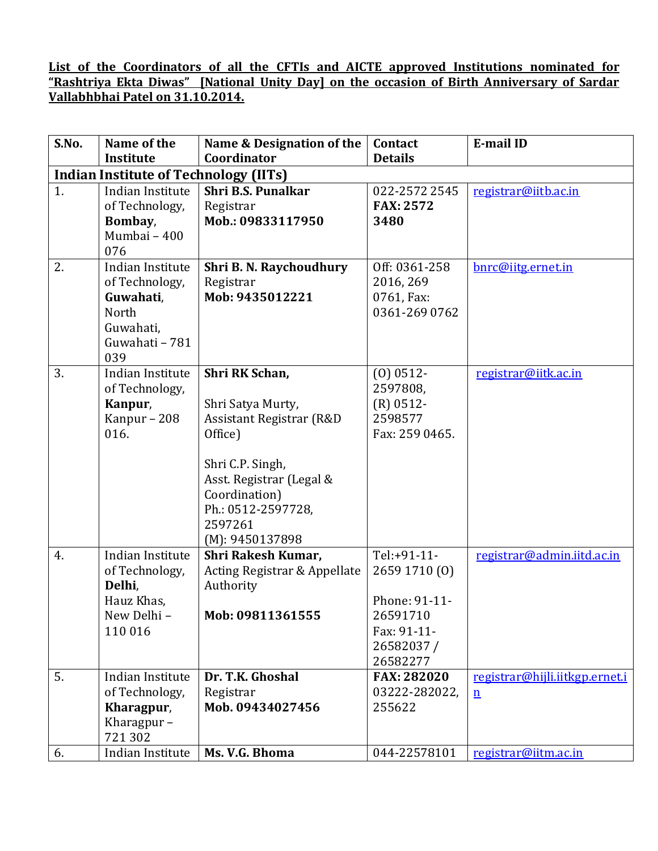## **List of the Coordinators of all the CFTIs and AICTE approved Institutions nominated for "Rashtriya Ekta Diwas" [National Unity Day] on the occasion of Birth Anniversary of Sardar Vallabhbhai Patel on 31.10.2014.**

| S.No. | Name of the                                  | Name & Designation of the     | Contact                 | <b>E-mail ID</b>               |
|-------|----------------------------------------------|-------------------------------|-------------------------|--------------------------------|
|       | <b>Institute</b>                             | Coordinator                   | <b>Details</b>          |                                |
|       | <b>Indian Institute of Technology (IITs)</b> |                               |                         |                                |
| 1.    | Indian Institute                             | <b>Shri B.S. Punalkar</b>     | 022-2572 2545           | registrar@iitb.ac.in           |
|       | of Technology,                               | Registrar                     | <b>FAX: 2572</b>        |                                |
|       | Bombay,                                      | Mob.: 09833117950             | 3480                    |                                |
|       | Mumbai - 400                                 |                               |                         |                                |
|       | 076                                          |                               |                         |                                |
| 2.    | Indian Institute                             | Shri B. N. Raychoudhury       | Off: 0361-258           | bnrc@iitg.ernet.in             |
|       | of Technology,                               | Registrar                     | 2016, 269               |                                |
|       | Guwahati,                                    | Mob: 9435012221               | 0761, Fax:              |                                |
|       | North                                        |                               | 0361-269 0762           |                                |
|       | Guwahati,                                    |                               |                         |                                |
|       | Guwahati - 781<br>039                        |                               |                         |                                |
| 3.    | Indian Institute                             | Shri RK Schan,                | $(0)$ 0512-             | registrar@iitk.ac.in           |
|       | of Technology,                               |                               | 2597808,                |                                |
|       | Kanpur,                                      | Shri Satya Murty,             | $(R)$ 0512-             |                                |
|       | Kanpur - 208                                 | Assistant Registrar (R&D)     | 2598577                 |                                |
|       | 016.                                         | Office)                       | Fax: 259 0465.          |                                |
|       |                                              |                               |                         |                                |
|       |                                              | Shri C.P. Singh,              |                         |                                |
|       |                                              | Asst. Registrar (Legal &      |                         |                                |
|       |                                              | Coordination)                 |                         |                                |
|       |                                              | Ph.: 0512-2597728,            |                         |                                |
|       |                                              | 2597261                       |                         |                                |
|       |                                              | (M): 9450137898               |                         |                                |
| 4.    | Indian Institute                             | <b>Shri Rakesh Kumar,</b>     | Tel:+91-11-             | registrar@admin.iitd.ac.in     |
|       | of Technology,                               | Acting Registrar & Appellate  | 2659 1710 (0)           |                                |
|       | Delhi,                                       | Authority                     |                         |                                |
|       | Hauz Khas,                                   |                               | Phone: 91-11-           |                                |
|       | New Delhi -                                  | Mob: 09811361555              | 26591710                |                                |
|       | 110 016                                      |                               | Fax: 91-11-             |                                |
|       |                                              |                               | 26582037/               |                                |
| 5.    | Indian Institute                             | Dr. T.K. Ghoshal              | 26582277                | registrar@hijli.iitkgp.ernet.i |
|       |                                              |                               | <b>FAX: 282020</b>      |                                |
|       | of Technology,                               | Registrar<br>Mob. 09434027456 | 03222-282022,<br>255622 | $\underline{n}$                |
|       | Kharagpur,<br>Kharagpur $-$                  |                               |                         |                                |
|       | 721302                                       |                               |                         |                                |
| 6.    | Indian Institute                             | Ms. V.G. Bhoma                | 044-22578101            | registrar@iitm.ac.in           |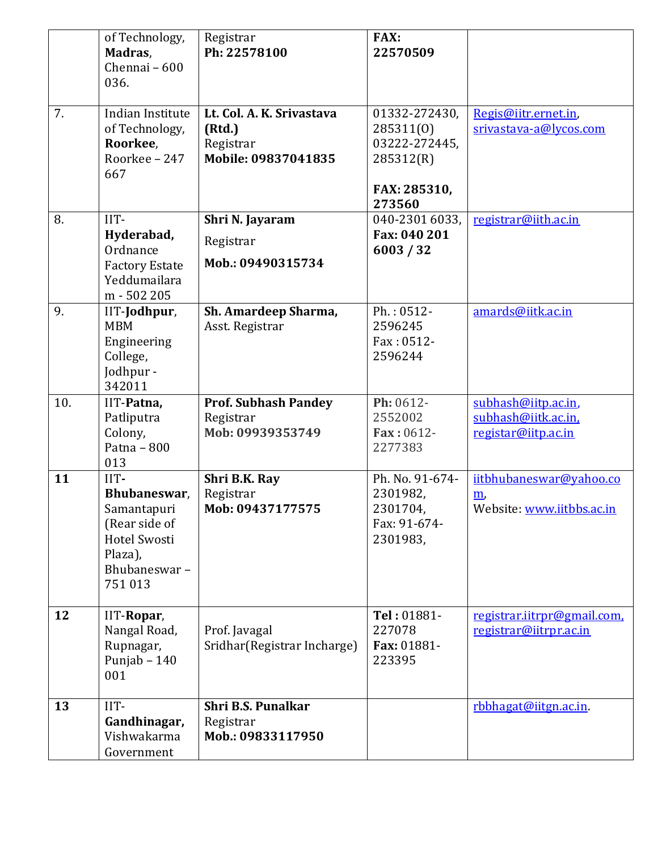|     | of Technology,<br>Madras,<br>Chennai - 600<br>036.                                                               | Registrar<br>Ph: 22578100                                               | <b>FAX:</b><br>22570509                                                            |                                                                           |
|-----|------------------------------------------------------------------------------------------------------------------|-------------------------------------------------------------------------|------------------------------------------------------------------------------------|---------------------------------------------------------------------------|
| 7.  | Indian Institute<br>of Technology,<br>Roorkee,<br>Roorkee - 247<br>667                                           | Lt. Col. A. K. Srivastava<br>(Rtd.)<br>Registrar<br>Mobile: 09837041835 | 01332-272430,<br>285311(0)<br>03222-272445,<br>285312(R)<br>FAX: 285310,<br>273560 | Regis@iitr.ernet.in,<br>srivastava-a@lycos.com                            |
| 8.  | IIT-<br>Hyderabad,<br>Ordnance<br><b>Factory Estate</b><br>Yeddumailara<br>m - 502 205                           | Shri N. Jayaram<br>Registrar<br>Mob.: 09490315734                       | 040-2301 6033,<br>Fax: 040 201<br>6003 / 32                                        | registrar@iith.ac.in                                                      |
| 9.  | IIT-Jodhpur,<br><b>MBM</b><br>Engineering<br>College,<br>Jodhpur -<br>342011                                     | Sh. Amardeep Sharma,<br>Asst. Registrar                                 | Ph.: 0512-<br>2596245<br>Fax: 0512-<br>2596244                                     | amards@iitk.ac.in                                                         |
| 10. | IIT-Patna,<br>Patliputra<br>Colony,<br>Patna - $800$<br>013                                                      | <b>Prof. Subhash Pandey</b><br>Registrar<br>Mob: 09939353749            | Ph: 0612-<br>2552002<br>Fax: 0612-<br>2277383                                      | subhash@iitp.ac.in,<br>subhash@iitk.ac.in,<br>registar@iitp.ac.in         |
| 11  | IIT-<br>Bhubaneswar,<br>Samantapuri<br>(Rear side of<br><b>Hotel Swosti</b><br>Plaza),<br>Bhubaneswar-<br>751013 | Shri B.K. Ray<br>Registrar<br>Mob: 09437177575                          | Ph. No. 91-674-<br>2301982,<br>2301704,<br>Fax: 91-674-<br>2301983,                | iitbhubaneswar@yahoo.co<br>$\underline{m}$ .<br>Website: www.iitbbs.ac.in |
| 12  | IIT-Ropar,<br>Nangal Road,<br>Rupnagar,<br>Punjab - 140<br>001                                                   | Prof. Javagal<br>Sridhar(Registrar Incharge)                            | Tel: 01881-<br>227078<br>Fax: 01881-<br>223395                                     | registrar.iitrpr@gmail.com,<br>registrar@iitrpr.ac.in                     |
| 13  | IIT-<br>Gandhinagar,<br>Vishwakarma<br>Government                                                                | <b>Shri B.S. Punalkar</b><br>Registrar<br>Mob.: 09833117950             |                                                                                    | rbbhagat@iitgn.ac.in                                                      |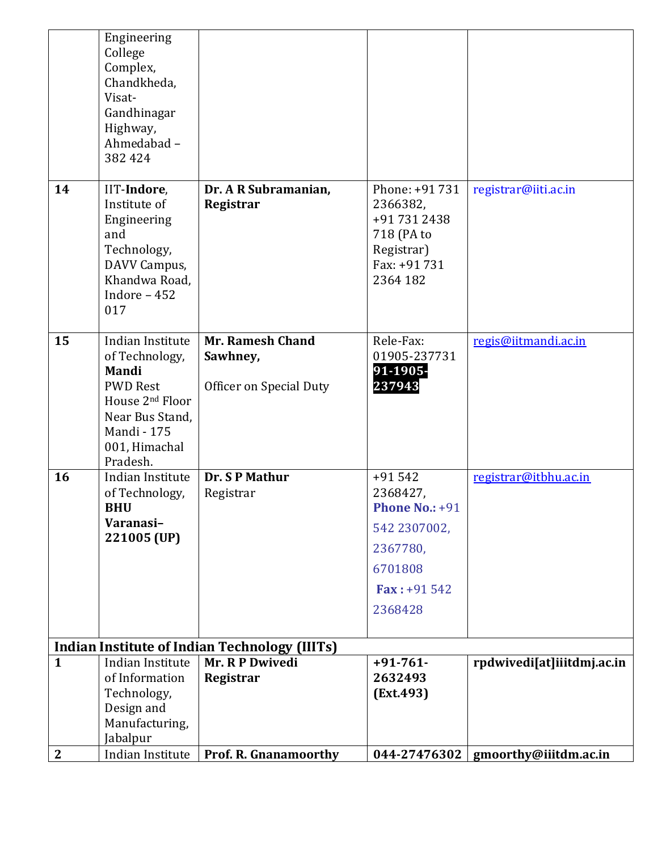|                  | Engineering<br>College<br>Complex,<br>Chandkheda,<br>Visat-<br>Gandhinagar<br>Highway,<br>Ahmedabad-<br>382 424                                                     |                                                         |                                                                                                                           |                                      |
|------------------|---------------------------------------------------------------------------------------------------------------------------------------------------------------------|---------------------------------------------------------|---------------------------------------------------------------------------------------------------------------------------|--------------------------------------|
| 14               | IIT-Indore,<br>Institute of<br>Engineering<br>and<br>Technology,<br>DAVV Campus,<br>Khandwa Road,<br>Indore - 452<br>017                                            | Dr. A R Subramanian,<br>Registrar                       | Phone: +91 731<br>2366382,<br>+91 731 2438<br>718 (PA to<br>Registrar)<br>Fax: +91 731<br>2364 182                        | registrar@iiti.ac.in                 |
| 15               | Indian Institute<br>of Technology,<br>Mandi<br><b>PWD Rest</b><br>House 2 <sup>nd</sup> Floor<br>Near Bus Stand,<br><b>Mandi</b> - 175<br>001, Himachal<br>Pradesh. | Mr. Ramesh Chand<br>Sawhney,<br>Officer on Special Duty | Rele-Fax:<br>01905-237731<br>91-1905-<br>237943                                                                           | regis@iitmandi.ac.in                 |
| 16               | Indian Institute<br>of Technology,<br><b>BHU</b><br>Varanasi-<br>221005 (UP)                                                                                        | Dr. SP Mathur<br>Registrar                              | $+91542$<br>2368427,<br><b>Phone No.: +91</b><br>542 2307002,<br>2367780,<br>6701808<br>$\text{Fax}: +91\,542$<br>2368428 | registrar@itbhu.ac.in                |
|                  |                                                                                                                                                                     | <b>Indian Institute of Indian Technology (IIITs)</b>    |                                                                                                                           |                                      |
| $\mathbf{1}$     | Indian Institute                                                                                                                                                    | Mr. R P Dwivedi                                         | $+91 - 761$                                                                                                               | rpdwivedi[at]iiitdmj.ac.in           |
|                  | of Information<br>Technology,                                                                                                                                       | Registrar                                               | 2632493<br>(Ext.493)                                                                                                      |                                      |
|                  | Design and                                                                                                                                                          |                                                         |                                                                                                                           |                                      |
|                  | Manufacturing,                                                                                                                                                      |                                                         |                                                                                                                           |                                      |
|                  | Jabalpur                                                                                                                                                            |                                                         |                                                                                                                           |                                      |
| $\boldsymbol{2}$ | Indian Institute                                                                                                                                                    | <b>Prof. R. Gnanamoorthy</b>                            |                                                                                                                           | 044-27476302   gmoorthy@iiitdm.ac.in |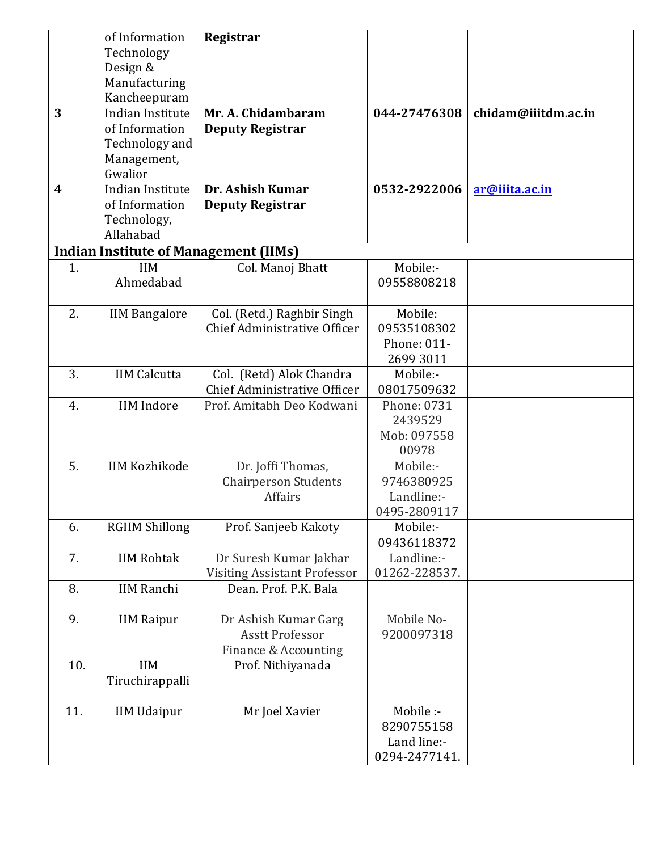|     | of Information        | Registrar                                      |               |                     |
|-----|-----------------------|------------------------------------------------|---------------|---------------------|
|     | Technology            |                                                |               |                     |
|     | Design &              |                                                |               |                     |
|     | Manufacturing         |                                                |               |                     |
|     | Kancheepuram          |                                                |               |                     |
| 3   | Indian Institute      | Mr. A. Chidambaram                             | 044-27476308  | chidam@iiitdm.ac.in |
|     | of Information        | <b>Deputy Registrar</b>                        |               |                     |
|     | Technology and        |                                                |               |                     |
|     | Management,           |                                                |               |                     |
|     | Gwalior               |                                                |               |                     |
| 4   | Indian Institute      | Dr. Ashish Kumar                               | 0532-2922006  | ar@iiita.ac.in      |
|     | of Information        | <b>Deputy Registrar</b>                        |               |                     |
|     | Technology,           |                                                |               |                     |
|     | Allahabad             |                                                |               |                     |
|     |                       | <b>Indian Institute of Management (IIMs)</b>   |               |                     |
| 1.  | <b>IIM</b>            | Col. Manoj Bhatt                               | Mobile:-      |                     |
|     | Ahmedabad             |                                                | 09558808218   |                     |
|     |                       |                                                |               |                     |
| 2.  | <b>IIM Bangalore</b>  | Col. (Retd.) Raghbir Singh                     | Mobile:       |                     |
|     |                       | Chief Administrative Officer                   | 09535108302   |                     |
|     |                       |                                                | Phone: 011-   |                     |
|     |                       |                                                | 2699 3011     |                     |
| 3.  | <b>IIM Calcutta</b>   | Col. (Retd) Alok Chandra                       | Mobile:-      |                     |
|     |                       | Chief Administrative Officer                   | 08017509632   |                     |
| 4.  | <b>IIM</b> Indore     | Prof. Amitabh Deo Kodwani                      | Phone: 0731   |                     |
|     |                       |                                                | 2439529       |                     |
|     |                       |                                                | Mob: 097558   |                     |
|     |                       |                                                | 00978         |                     |
| 5.  | <b>IIM Kozhikode</b>  | Dr. Joffi Thomas,                              | Mobile:-      |                     |
|     |                       | <b>Chairperson Students</b>                    | 9746380925    |                     |
|     |                       | <b>Affairs</b>                                 | Landline:-    |                     |
|     |                       |                                                | 0495-2809117  |                     |
| 6.  | <b>RGIIM Shillong</b> | Prof. Sanjeeb Kakoty                           | Mobile:-      |                     |
|     |                       |                                                | 09436118372   |                     |
| 7.  | <b>IIM Rohtak</b>     | Dr Suresh Kumar Jakhar                         | Landline:-    |                     |
|     |                       | <b>Visiting Assistant Professor</b>            | 01262-228537. |                     |
| 8.  | <b>IIM Ranchi</b>     | Dean. Prof. P.K. Bala                          |               |                     |
| 9.  |                       |                                                | Mobile No-    |                     |
|     | <b>IIM Raipur</b>     | Dr Ashish Kumar Garg<br><b>Asstt Professor</b> | 9200097318    |                     |
|     |                       | Finance & Accounting                           |               |                     |
| 10. | <b>IIM</b>            | Prof. Nithiyanada                              |               |                     |
|     | Tiruchirappalli       |                                                |               |                     |
|     |                       |                                                |               |                     |
| 11. | <b>IIM Udaipur</b>    | Mr Joel Xavier                                 | Mobile :-     |                     |
|     |                       |                                                | 8290755158    |                     |
|     |                       |                                                | Land line:-   |                     |
|     |                       |                                                | 0294-2477141. |                     |
|     |                       |                                                |               |                     |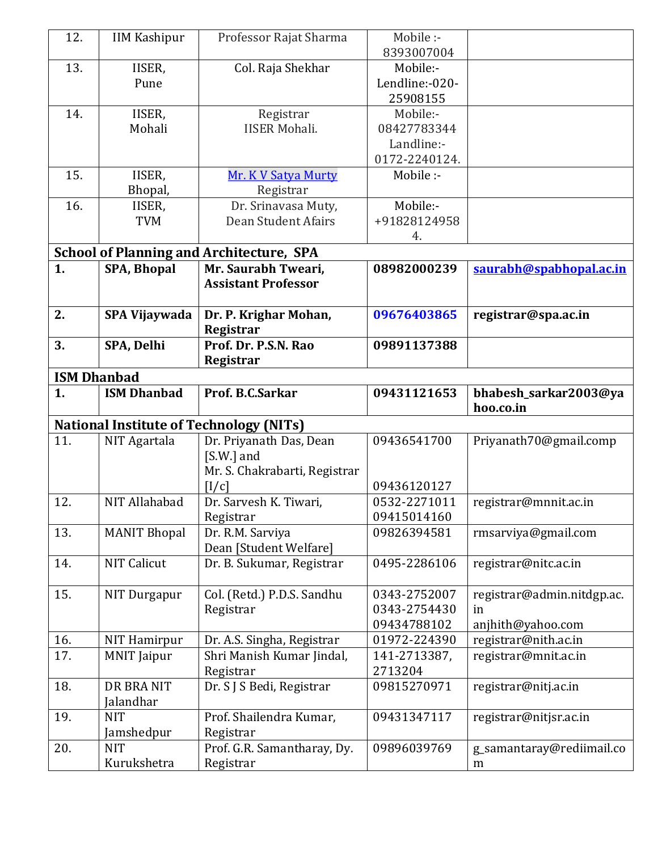| 12.                | <b>IIM Kashipur</b>       | Professor Rajat Sharma                          | Mobile :-      |                            |
|--------------------|---------------------------|-------------------------------------------------|----------------|----------------------------|
|                    |                           |                                                 | 8393007004     |                            |
| 13.                | IISER,                    | Col. Raja Shekhar                               | Mobile:-       |                            |
|                    | Pune                      |                                                 | Lendline:-020- |                            |
|                    |                           |                                                 | 25908155       |                            |
| 14.                | IISER,                    | Registrar                                       | Mobile:-       |                            |
| Mohali             |                           | <b>IISER Mohali.</b>                            | 08427783344    |                            |
|                    |                           |                                                 | Landline:-     |                            |
|                    |                           |                                                 | 0172-2240124.  |                            |
| 15.                | IISER,                    | <b>Mr. K V Satya Murty</b>                      | Mobile :-      |                            |
|                    | Bhopal,                   | Registrar                                       |                |                            |
| 16.                | IISER,                    | Dr. Srinavasa Muty,                             | Mobile:-       |                            |
|                    | <b>TVM</b>                | Dean Student Afairs                             | +91828124958   |                            |
|                    |                           |                                                 | 4.             |                            |
|                    |                           | <b>School of Planning and Architecture, SPA</b> |                |                            |
| 1.                 | <b>SPA, Bhopal</b>        | Mr. Saurabh Tweari,                             | 08982000239    | saurabh@spabhopal.ac.in    |
|                    |                           | <b>Assistant Professor</b>                      |                |                            |
|                    |                           |                                                 |                |                            |
| 2.                 | SPA Vijaywada             | Dr. P. Krighar Mohan,                           | 09676403865    | registrar@spa.ac.in        |
|                    |                           | Registrar                                       |                |                            |
| 3.                 | SPA, Delhi                | Prof. Dr. P.S.N. Rao                            | 09891137388    |                            |
|                    |                           | Registrar                                       |                |                            |
| <b>ISM Dhanbad</b> |                           |                                                 |                |                            |
| 1.                 | <b>ISM Dhanbad</b>        | Prof. B.C.Sarkar                                | 09431121653    | bhabesh_sarkar2003@ya      |
|                    |                           |                                                 |                | hoo.co.in                  |
|                    |                           | <b>National Institute of Technology (NITs)</b>  |                |                            |
| 11.                | NIT Agartala              | Dr. Priyanath Das, Dean                         | 09436541700    | Priyanath70@gmail.comp     |
|                    |                           | $[S.W.]$ and                                    |                |                            |
|                    |                           | Mr. S. Chakrabarti, Registrar                   |                |                            |
|                    |                           | [I/c]                                           | 09436120127    |                            |
| 12.                | NIT Allahabad             | Dr. Sarvesh K. Tiwari,                          | 0532-2271011   | registrar@mnnit.ac.in      |
|                    |                           | Registrar                                       | 09415014160    |                            |
| 13.                | <b>MANIT Bhopal</b>       | Dr. R.M. Sarviya                                | 09826394581    | rmsarviya@gmail.com        |
|                    |                           | Dean [Student Welfare]                          |                |                            |
| 14.                | <b>NIT Calicut</b>        | Dr. B. Sukumar, Registrar                       | 0495-2286106   | registrar@nitc.ac.in       |
|                    |                           |                                                 |                |                            |
| 15.                | NIT Durgapur              | Col. (Retd.) P.D.S. Sandhu                      | 0343-2752007   | registrar@admin.nitdgp.ac. |
|                    |                           | Registrar                                       | 0343-2754430   | in                         |
|                    |                           |                                                 | 09434788102    | anjhith@yahoo.com          |
| 16.                | <b>NIT Hamirpur</b>       | Dr. A.S. Singha, Registrar                      | 01972-224390   | registrar@nith.ac.in       |
| 17.                | <b>MNIT</b> Jaipur        | Shri Manish Kumar Jindal,                       | 141-2713387,   | registrar@mnit.ac.in       |
|                    |                           | Registrar                                       | 2713204        |                            |
| 18.                | DR BRA NIT                | Dr. S J S Bedi, Registrar                       | 09815270971    | registrar@nitj.ac.in       |
|                    | Jalandhar                 |                                                 |                |                            |
| 19.                | <b>NIT</b>                | Prof. Shailendra Kumar,                         | 09431347117    | registrar@nitjsr.ac.in     |
|                    | Jamshedpur                | Registrar                                       |                |                            |
|                    |                           |                                                 |                |                            |
| 20.                | <b>NIT</b><br>Kurukshetra | Prof. G.R. Samantharay, Dy.<br>Registrar        | 09896039769    | g_samantaray@rediimail.co  |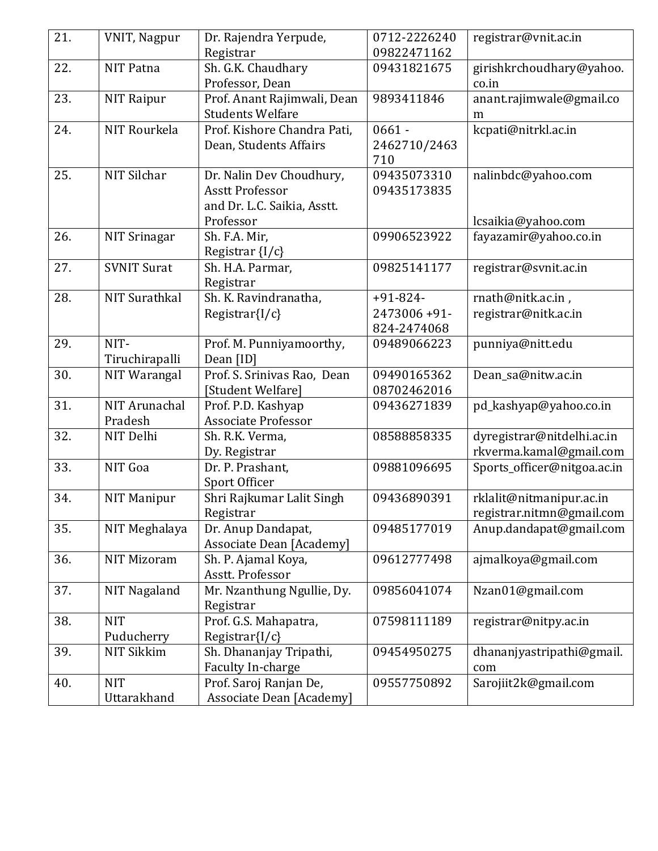| 21. | <b>VNIT, Nagpur</b>  | Dr. Rajendra Yerpude,<br>Registrar | 0712-2226240<br>09822471162 | registrar@vnit.ac.in        |
|-----|----------------------|------------------------------------|-----------------------------|-----------------------------|
| 22. | <b>NIT Patna</b>     | Sh. G.K. Chaudhary                 | 09431821675                 | girishkrchoudhary@yahoo.    |
|     |                      | Professor, Dean                    |                             | co.in                       |
| 23. | NIT Raipur           | Prof. Anant Rajimwali, Dean        | 9893411846                  | anant.rajimwale@gmail.co    |
|     |                      | <b>Students Welfare</b>            |                             | m                           |
| 24. | NIT Rourkela         | Prof. Kishore Chandra Pati,        | $0661 -$                    | kcpati@nitrkl.ac.in         |
|     |                      | Dean, Students Affairs             | 2462710/2463                |                             |
|     |                      |                                    | 710                         |                             |
| 25. | NIT Silchar          | Dr. Nalin Dev Choudhury,           | 09435073310                 | nalinbdc@yahoo.com          |
|     |                      | <b>Asstt Professor</b>             | 09435173835                 |                             |
|     |                      | and Dr. L.C. Saikia, Asstt.        |                             |                             |
|     |                      | Professor                          |                             | lcsaikia@yahoo.com          |
| 26. | <b>NIT Srinagar</b>  | Sh. F.A. Mir,                      | 09906523922                 | fayazamir@yahoo.co.in       |
|     |                      | Registrar $\{I/c\}$                |                             |                             |
| 27. | <b>SVNIT Surat</b>   | Sh. H.A. Parmar,                   | 09825141177                 | registrar@svnit.ac.in       |
| 28. | <b>NIT Surathkal</b> | Registrar<br>Sh. K. Ravindranatha, | $+91-824-$                  |                             |
|     |                      |                                    | 2473006+91-                 | rnath@nitk.ac.in,           |
|     |                      | Registrar $\{I/c\}$                | 824-2474068                 | registrar@nitk.ac.in        |
| 29. | NIT-                 | Prof. M. Punniyamoorthy,           | 09489066223                 | punniya@nitt.edu            |
|     | Tiruchirapalli       | Dean [ID]                          |                             |                             |
| 30. | NIT Warangal         | Prof. S. Srinivas Rao, Dean        | 09490165362                 | Dean_sa@nitw.ac.in          |
|     |                      | [Student Welfare]                  | 08702462016                 |                             |
| 31. | NIT Arunachal        | Prof. P.D. Kashyap                 | 09436271839                 | pd_kashyap@yahoo.co.in      |
|     | Pradesh              | <b>Associate Professor</b>         |                             |                             |
| 32. | NIT Delhi            | Sh. R.K. Verma,                    | 08588858335                 | dyregistrar@nitdelhi.ac.in  |
|     |                      | Dy. Registrar                      |                             | rkverma.kamal@gmail.com     |
| 33. | NIT Goa              | Dr. P. Prashant,                   | 09881096695                 | Sports_officer@nitgoa.ac.in |
|     |                      | Sport Officer                      |                             |                             |
| 34. | <b>NIT Manipur</b>   | Shri Rajkumar Lalit Singh          | 09436890391                 | rklalit@nitmanipur.ac.in    |
|     |                      | Registrar                          |                             | registrar.nitmn@gmail.com   |
| 35. | NIT Meghalaya        | Dr. Anup Dandapat,                 | 09485177019                 | Anup.dandapat@gmail.com     |
|     |                      | Associate Dean [Academy]           |                             |                             |
| 36. | <b>NIT Mizoram</b>   | Sh. P. Ajamal Koya,                | 09612777498                 | ajmalkoya@gmail.com         |
|     |                      | Asstt. Professor                   |                             |                             |
| 37. | NIT Nagaland         | Mr. Nzanthung Ngullie, Dy.         | 09856041074                 | Nzan01@gmail.com            |
|     |                      | Registrar                          |                             |                             |
| 38. | <b>NIT</b>           | Prof. G.S. Mahapatra,              | 07598111189                 | registrar@nitpy.ac.in       |
|     | Puducherry           | $Registrar{I/c}$                   |                             |                             |
| 39. | <b>NIT Sikkim</b>    | Sh. Dhananjay Tripathi,            | 09454950275                 | dhananjyastripathi@gmail.   |
|     |                      | Faculty In-charge                  |                             | com                         |
| 40. | <b>NIT</b>           | Prof. Saroj Ranjan De,             | 09557750892                 | Sarojiit2k@gmail.com        |
|     | Uttarakhand          | <b>Associate Dean [Academy]</b>    |                             |                             |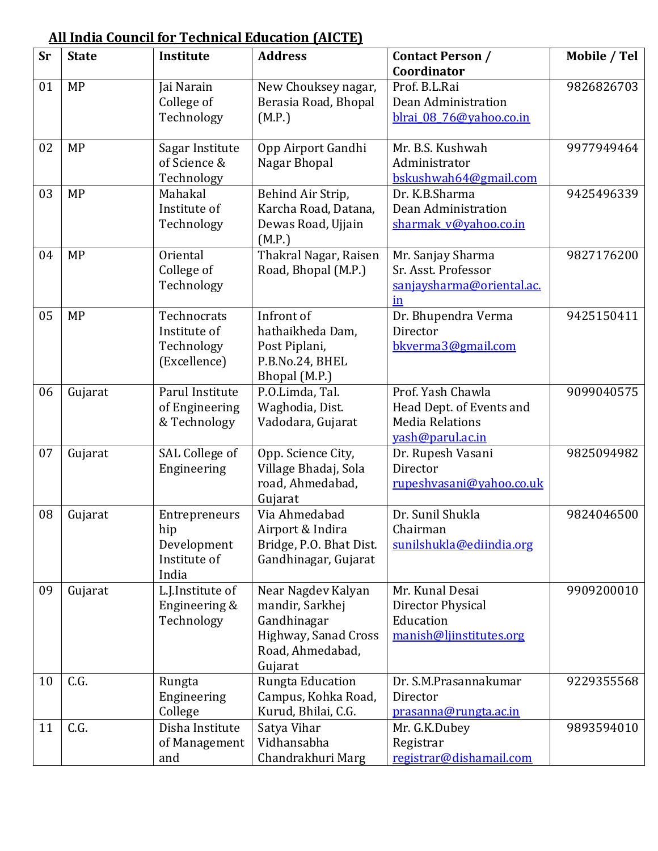|           | m mum ovunch ivi |                                                              | <u> 1 сеписат ваасастоп ттиот в </u>                                                                        |                                                                                              |              |
|-----------|------------------|--------------------------------------------------------------|-------------------------------------------------------------------------------------------------------------|----------------------------------------------------------------------------------------------|--------------|
| <b>Sr</b> | <b>State</b>     | Institute                                                    | <b>Address</b>                                                                                              | <b>Contact Person /</b><br>Coordinator                                                       | Mobile / Tel |
| 01        | <b>MP</b>        | Jai Narain<br>College of<br>Technology                       | New Chouksey nagar,<br>Berasia Road, Bhopal<br>(M.P.)                                                       | Prof. B.L.Rai<br>Dean Administration<br>blrai 08 76@yahoo.co.in                              | 9826826703   |
| 02        | <b>MP</b>        | Sagar Institute<br>of Science &<br>Technology                | Opp Airport Gandhi<br>Nagar Bhopal                                                                          | Mr. B.S. Kushwah<br>Administrator<br>bskushwah64@gmail.com                                   | 9977949464   |
| 03        | <b>MP</b>        | Mahakal<br>Institute of<br>Technology                        | Behind Air Strip,<br>Karcha Road, Datana,<br>Dewas Road, Ujjain<br>(M.P.)                                   | Dr. K.B.Sharma<br>Dean Administration<br>sharmak v@yahoo.co.in                               | 9425496339   |
| 04        | <b>MP</b>        | Oriental<br>College of<br>Technology                         | Thakral Nagar, Raisen<br>Road, Bhopal (M.P.)                                                                | Mr. Sanjay Sharma<br>Sr. Asst. Professor<br>sanjaysharma@oriental.ac.<br>$\operatorname{in}$ | 9827176200   |
| 05        | <b>MP</b>        | Technocrats<br>Institute of<br>Technology<br>(Excellence)    | Infront of<br>hathaikheda Dam,<br>Post Piplani,<br>P.B.No.24, BHEL<br>Bhopal (M.P.)                         | Dr. Bhupendra Verma<br>Director<br>bkverma3@gmail.com                                        | 9425150411   |
| 06        | Gujarat          | Parul Institute<br>of Engineering<br>& Technology            | P.O.Limda, Tal.<br>Waghodia, Dist.<br>Vadodara, Gujarat                                                     | Prof. Yash Chawla<br>Head Dept. of Events and<br><b>Media Relations</b><br>vash@parul.ac.in  | 9099040575   |
| 07        | Gujarat          | SAL College of<br>Engineering                                | Opp. Science City,<br>Village Bhadaj, Sola<br>road, Ahmedabad,<br>Gujarat                                   | Dr. Rupesh Vasani<br>Director<br>rupeshvasani@yahoo.co.uk                                    | 9825094982   |
| 08        | Gujarat          | Entrepreneurs<br>hip<br>Development<br>Institute of<br>India | Via Ahmedabad<br>Airport & Indira<br>Bridge, P.O. Bhat Dist.<br>Gandhinagar, Gujarat                        | Dr. Sunil Shukla<br>Chairman<br>sunilshukla@ediindia.org                                     | 9824046500   |
| 09        | Gujarat          | L.J.Institute of<br>Engineering &<br>Technology              | Near Nagdev Kalyan<br>mandir, Sarkhej<br>Gandhinagar<br>Highway, Sanad Cross<br>Road, Ahmedabad,<br>Gujarat | Mr. Kunal Desai<br>Director Physical<br>Education<br>manish@ljinstitutes.org                 | 9909200010   |
| 10        | C.G.             | Rungta<br>Engineering<br>College                             | Rungta Education<br>Campus, Kohka Road,<br>Kurud, Bhilai, C.G.                                              | Dr. S.M.Prasannakumar<br>Director<br>prasanna@rungta.ac.in                                   | 9229355568   |
| 11        | C.G.             | Disha Institute<br>of Management<br>and                      | Satya Vihar<br>Vidhansabha<br>Chandrakhuri Marg                                                             | Mr. G.K.Dubey<br>Registrar<br>registrar@dishamail.com                                        | 9893594010   |

## **[All India Council for Technical Education](http://www.aicte-india.org/) (AICTE)**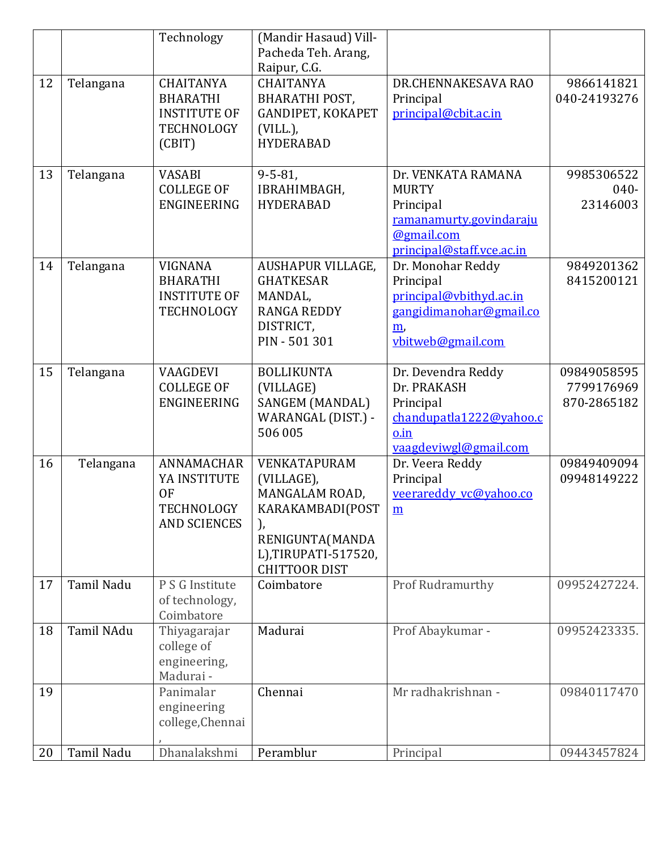|    |            | Technology                                                                                | (Mandir Hasaud) Vill-<br>Pacheda Teh. Arang,<br>Raipur, C.G.                                                                             |                                                                                                                       |                                          |
|----|------------|-------------------------------------------------------------------------------------------|------------------------------------------------------------------------------------------------------------------------------------------|-----------------------------------------------------------------------------------------------------------------------|------------------------------------------|
| 12 | Telangana  | <b>CHAITANYA</b><br><b>BHARATHI</b><br><b>INSTITUTE OF</b><br><b>TECHNOLOGY</b><br>(CBIT) | <b>CHAITANYA</b><br>BHARATHI POST,<br>GANDIPET, KOKAPET<br>$(VILL)$ ,<br><b>HYDERABAD</b>                                                | DR.CHENNAKESAVA RAO<br>Principal<br>principal@cbit.ac.in                                                              | 9866141821<br>040-24193276               |
| 13 | Telangana  | <b>VASABI</b><br><b>COLLEGE OF</b><br>ENGINEERING                                         | $9 - 5 - 81$<br>IBRAHIMBAGH,<br><b>HYDERABAD</b>                                                                                         | Dr. VENKATA RAMANA<br><b>MURTY</b><br>Principal<br>ramanamurty.govindaraju<br>@gmail.com<br>principal@staff.vce.ac.in | 9985306522<br>$040 -$<br>23146003        |
| 14 | Telangana  | <b>VIGNANA</b><br><b>BHARATHI</b><br><b>INSTITUTE OF</b><br><b>TECHNOLOGY</b>             | AUSHAPUR VILLAGE,<br><b>GHATKESAR</b><br>MANDAL,<br><b>RANGA REDDY</b><br>DISTRICT,<br>PIN - 501 301                                     | Dr. Monohar Reddy<br>Principal<br>principal@vbithyd.ac.in<br>gangidimanohar@gmail.co<br>m<br>vbitweb@gmail.com        | 9849201362<br>8415200121                 |
| 15 | Telangana  | <b>VAAGDEVI</b><br><b>COLLEGE OF</b><br>ENGINEERING                                       | <b>BOLLIKUNTA</b><br>(VILLAGE)<br>SANGEM (MANDAL)<br>WARANGAL (DIST.) -<br>506 005                                                       | Dr. Devendra Reddy<br>Dr. PRAKASH<br>Principal<br>chandupatla1222@yahoo.c<br>o.in<br>vaagdeviwgl@gmail.com            | 09849058595<br>7799176969<br>870-2865182 |
| 16 | Telangana  | ANNAMACHAR<br>YA INSTITUTE<br><b>OF</b><br>TECHNOLOGY<br><b>AND SCIENCES</b>              | VENKATAPURAM<br>(VILLAGE),<br>MANGALAM ROAD,<br>KARAKAMBADI(POST<br>),<br>RENIGUNTA(MANDA<br>L),TIRUPATI-517520,<br><b>CHITTOOR DIST</b> | Dr. Veera Reddy<br>Principal<br>veerareddy vc@yahoo.co<br>$\underline{\mathbf{m}}$                                    | 09849409094<br>09948149222               |
| 17 | Tamil Nadu | P S G Institute<br>of technology,<br>Coimbatore                                           | Coimbatore                                                                                                                               | Prof Rudramurthy                                                                                                      | 09952427224.                             |
| 18 | Tamil NAdu | Thiyagarajar<br>college of<br>engineering,<br>Madurai -                                   | Madurai                                                                                                                                  | Prof Abaykumar -                                                                                                      | 09952423335.                             |
| 19 |            | Panimalar<br>engineering<br>college, Chennai                                              | Chennai                                                                                                                                  | Mr radhakrishnan -                                                                                                    | 09840117470                              |
| 20 | Tamil Nadu | Dhanalakshmi                                                                              | Peramblur                                                                                                                                | Principal                                                                                                             | 09443457824                              |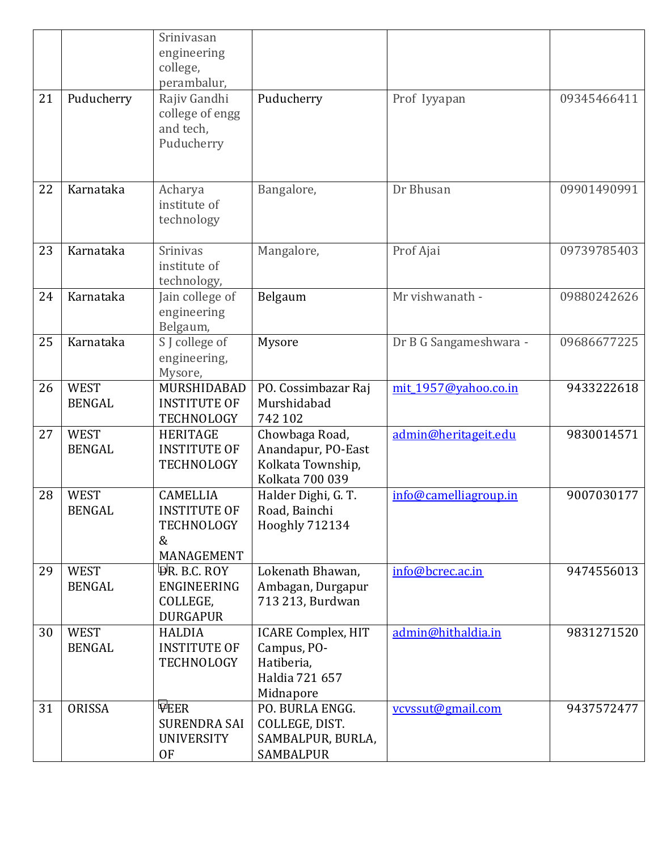|    |                              | Srinivasan<br>engineering<br>college,                                          |                                                                                       |                        |             |
|----|------------------------------|--------------------------------------------------------------------------------|---------------------------------------------------------------------------------------|------------------------|-------------|
|    |                              | perambalur,                                                                    |                                                                                       |                        |             |
| 21 | Puducherry                   | Rajiv Gandhi<br>college of engg<br>and tech,<br>Puducherry                     | Puducherry                                                                            | Prof Iyyapan           | 09345466411 |
| 22 | Karnataka                    | Acharya<br>institute of<br>technology                                          | Bangalore,                                                                            | Dr Bhusan              | 09901490991 |
| 23 | Karnataka                    | <b>Srinivas</b><br>institute of<br>technology,                                 | Mangalore,                                                                            | Prof Ajai              | 09739785403 |
| 24 | Karnataka                    | Jain college of<br>engineering<br>Belgaum,                                     | Belgaum                                                                               | Mr vishwanath -        | 09880242626 |
| 25 | Karnataka                    | S J college of<br>engineering,<br>Mysore,                                      | Mysore                                                                                | Dr B G Sangameshwara - | 09686677225 |
| 26 | <b>WEST</b><br><b>BENGAL</b> | MURSHIDABAD<br><b>INSTITUTE OF</b><br><b>TECHNOLOGY</b>                        | PO. Cossimbazar Raj<br>Murshidabad<br>742 102                                         | mit 1957@yahoo.co.in   | 9433222618  |
| 27 | <b>WEST</b><br><b>BENGAL</b> | <b>HERITAGE</b><br><b>INSTITUTE OF</b><br><b>TECHNOLOGY</b>                    | Chowbaga Road,<br>Anandapur, PO-East<br>Kolkata Township,<br><b>Kolkata 700 039</b>   | admin@heritageit.edu   | 9830014571  |
| 28 | <b>WEST</b><br><b>BENGAL</b> | <b>CAMELLIA</b><br><b>INSTITUTE OF</b><br><b>TECHNOLOGY</b><br>&<br>MANAGEMENT | Halder Dighi, G. T.<br>Road, Bainchi<br><b>Hooghly 712134</b>                         | info@camelliagroup.in  | 9007030177  |
| 29 | <b>WEST</b><br><b>BENGAL</b> | <b>ER. B.C. ROY</b><br>ENGINEERING<br>COLLEGE,<br><b>DURGAPUR</b>              | Lokenath Bhawan,<br>Ambagan, Durgapur<br>713 213, Burdwan                             | info@bcrec.ac.in       | 9474556013  |
| 30 | <b>WEST</b><br><b>BENGAL</b> | <b>HALDIA</b><br><b>INSTITUTE OF</b><br>TECHNOLOGY                             | <b>ICARE Complex, HIT</b><br>Campus, PO-<br>Hatiberia,<br>Haldia 721 657<br>Midnapore | admin@hithaldia.in     | 9831271520  |
| 31 | ORISSA                       | <b>VEER</b><br><b>SURENDRA SAI</b><br><b>UNIVERSITY</b><br><b>OF</b>           | PO. BURLA ENGG.<br>COLLEGE, DIST.<br>SAMBALPUR, BURLA,<br><b>SAMBALPUR</b>            | vcvssut@gmail.com      | 9437572477  |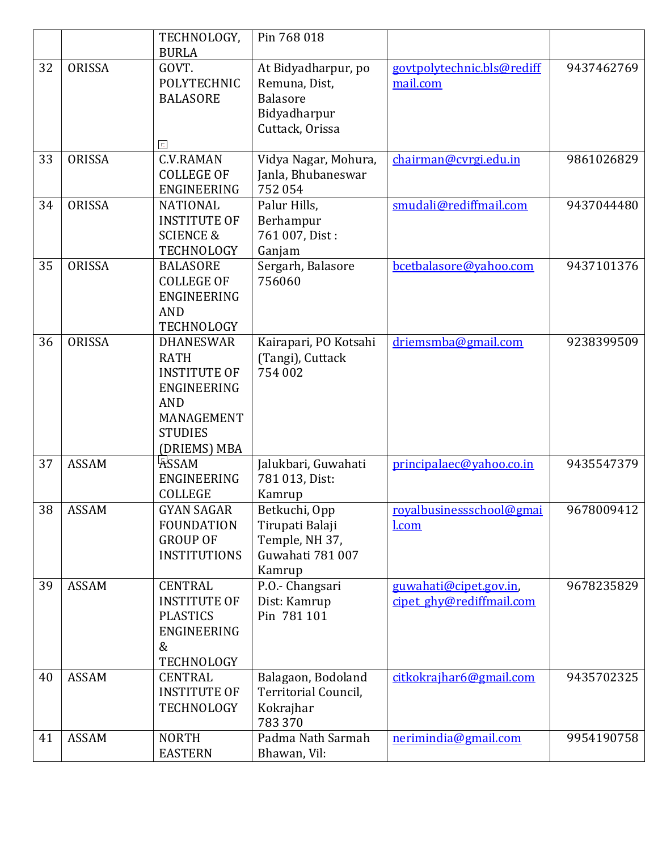|    |               | TECHNOLOGY,                  | Pin 768 018           |                            |            |
|----|---------------|------------------------------|-----------------------|----------------------------|------------|
|    |               | <b>BURLA</b>                 |                       |                            |            |
| 32 | ORISSA        | GOVT.                        | At Bidyadharpur, po   | govtpolytechnic.bls@rediff | 9437462769 |
|    |               | <b>POLYTECHNIC</b>           | Remuna, Dist,         | mail.com                   |            |
|    |               | <b>BALASORE</b>              | <b>Balasore</b>       |                            |            |
|    |               |                              | Bidyadharpur          |                            |            |
|    |               |                              | Cuttack, Orissa       |                            |            |
|    |               | 同                            |                       |                            |            |
| 33 | <b>ORISSA</b> | <b>C.V.RAMAN</b>             | Vidya Nagar, Mohura,  | chairman@cvrgi.edu.in      | 9861026829 |
|    |               | <b>COLLEGE OF</b>            | Janla, Bhubaneswar    |                            |            |
|    |               | ENGINEERING                  | 752 054               |                            |            |
| 34 | ORISSA        | <b>NATIONAL</b>              | Palur Hills,          | smudali@rediffmail.com     | 9437044480 |
|    |               | <b>INSTITUTE OF</b>          | Berhampur             |                            |            |
|    |               | <b>SCIENCE &amp;</b>         | 761 007, Dist:        |                            |            |
|    |               | <b>TECHNOLOGY</b>            | Ganjam                |                            |            |
| 35 | ORISSA        | <b>BALASORE</b>              | Sergarh, Balasore     | bcetbalasore@yahoo.com     | 9437101376 |
|    |               | <b>COLLEGE OF</b>            | 756060                |                            |            |
|    |               | ENGINEERING                  |                       |                            |            |
|    |               | <b>AND</b>                   |                       |                            |            |
|    |               | <b>TECHNOLOGY</b>            |                       |                            |            |
| 36 | ORISSA        | <b>DHANESWAR</b>             | Kairapari, PO Kotsahi | driemsmba@gmail.com        | 9238399509 |
|    |               | <b>RATH</b>                  | (Tangi), Cuttack      |                            |            |
|    |               | <b>INSTITUTE OF</b>          | 754 002               |                            |            |
|    |               | ENGINEERING                  |                       |                            |            |
|    |               | <b>AND</b>                   |                       |                            |            |
|    |               | MANAGEMENT                   |                       |                            |            |
|    |               | <b>STUDIES</b>               |                       |                            |            |
|    |               |                              |                       |                            |            |
|    | <b>ASSAM</b>  | (DRIEMS) MBA<br><b>ASSAM</b> |                       |                            | 9435547379 |
| 37 |               |                              | Jalukbari, Guwahati   | principalaec@yahoo.co.in   |            |
|    |               | ENGINEERING                  | 781 013, Dist:        |                            |            |
|    |               | <b>COLLEGE</b>               | Kamrup                |                            |            |
| 38 | <b>ASSAM</b>  | <b>GYAN SAGAR</b>            | Betkuchi, Opp         | royalbusinessschool@gmai   | 9678009412 |
|    |               | <b>FOUNDATION</b>            | Tirupati Balaji       | <u>l.com</u>               |            |
|    |               | <b>GROUP OF</b>              | Temple, NH 37,        |                            |            |
|    |               | <b>INSTITUTIONS</b>          | Guwahati 781007       |                            |            |
|    |               |                              | Kamrup                |                            |            |
| 39 | <b>ASSAM</b>  | <b>CENTRAL</b>               | P.O.- Changsari       | guwahati@cipet.gov.in,     | 9678235829 |
|    |               | <b>INSTITUTE OF</b>          | Dist: Kamrup          | cipet ghy@rediffmail.com   |            |
|    |               | <b>PLASTICS</b>              | Pin 781 101           |                            |            |
|    |               | ENGINEERING                  |                       |                            |            |
|    |               | &                            |                       |                            |            |
|    |               | <b>TECHNOLOGY</b>            |                       |                            |            |
| 40 | <b>ASSAM</b>  | <b>CENTRAL</b>               | Balagaon, Bodoland    | citkokrajhar6@gmail.com    | 9435702325 |
|    |               | <b>INSTITUTE OF</b>          | Territorial Council,  |                            |            |
|    |               | TECHNOLOGY                   | Kokrajhar             |                            |            |
|    |               |                              | 783 370               |                            |            |
| 41 | <b>ASSAM</b>  | <b>NORTH</b>                 | Padma Nath Sarmah     | nerimindia@gmail.com       | 9954190758 |
|    |               | <b>EASTERN</b>               | Bhawan, Vil:          |                            |            |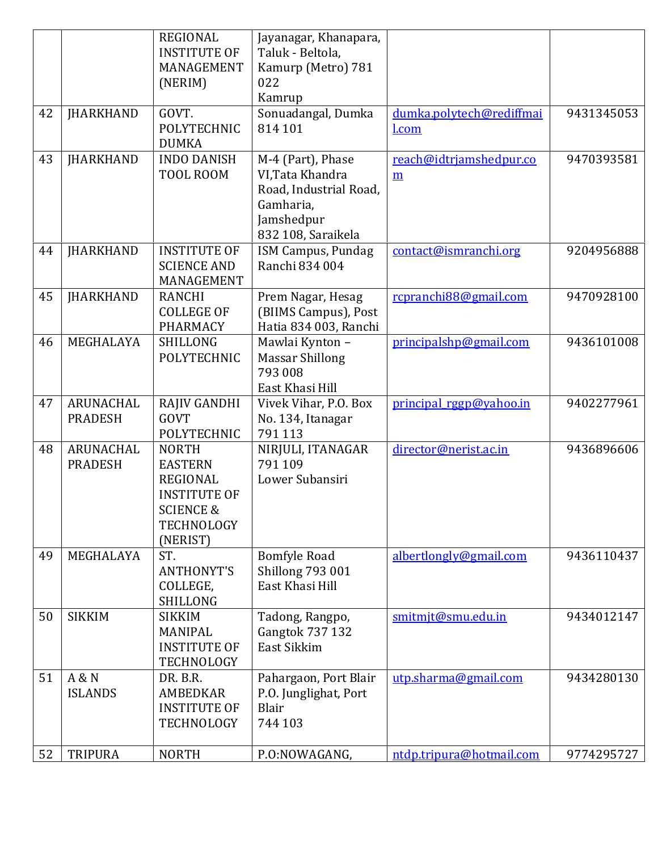|    |                             | <b>REGIONAL</b><br><b>INSTITUTE OF</b><br>MANAGEMENT                                                                              | Jayanagar, Khanapara,<br>Taluk - Beltola,<br>Kamurp (Metro) 781                                                  |                              |            |
|----|-----------------------------|-----------------------------------------------------------------------------------------------------------------------------------|------------------------------------------------------------------------------------------------------------------|------------------------------|------------|
|    |                             | (NERIM)                                                                                                                           | 022<br>Kamrup                                                                                                    |                              |            |
| 42 | <b>JHARKHAND</b>            | GOVT.                                                                                                                             | Sonuadangal, Dumka                                                                                               | dumka.polytech@rediffmai     | 9431345053 |
|    |                             | <b>POLYTECHNIC</b><br><b>DUMKA</b>                                                                                                | 814 101                                                                                                          | l.com                        |            |
| 43 | <b>JHARKHAND</b>            | <b>INDO DANISH</b><br>TOOL ROOM                                                                                                   | M-4 (Part), Phase<br>VI, Tata Khandra<br>Road, Industrial Road,<br>Gamharia,<br>Jamshedpur<br>832 108, Saraikela | reach@idtriamshedpur.co<br>m | 9470393581 |
| 44 | <b>JHARKHAND</b>            | <b>INSTITUTE OF</b><br><b>SCIENCE AND</b><br>MANAGEMENT                                                                           | ISM Campus, Pundag<br>Ranchi 834 004                                                                             | contact@ismranchi.org        | 9204956888 |
| 45 | <b>JHARKHAND</b>            | <b>RANCHI</b><br><b>COLLEGE OF</b><br><b>PHARMACY</b>                                                                             | Prem Nagar, Hesag<br>(BIIMS Campus), Post<br>Hatia 834 003, Ranchi                                               | rcpranchi88@gmail.com        | 9470928100 |
| 46 | MEGHALAYA                   | <b>SHILLONG</b><br><b>POLYTECHNIC</b>                                                                                             | Mawlai Kynton -<br><b>Massar Shillong</b><br>793 008<br>East Khasi Hill                                          | principalshp@gmail.com       | 9436101008 |
| 47 | ARUNACHAL<br><b>PRADESH</b> | RAJIV GANDHI<br><b>GOVT</b><br><b>POLYTECHNIC</b>                                                                                 | Vivek Vihar, P.O. Box<br>No. 134, Itanagar<br>791 113                                                            | principal rggp@yahoo.in      | 9402277961 |
| 48 | ARUNACHAL<br><b>PRADESH</b> | <b>NORTH</b><br><b>EASTERN</b><br><b>REGIONAL</b><br><b>INSTITUTE OF</b><br><b>SCIENCE &amp;</b><br><b>TECHNOLOGY</b><br>(NERIST) | NIRJULI, ITANAGAR<br>791 109<br>Lower Subansiri                                                                  | director@nerist.ac.in        | 9436896606 |
| 49 | MEGHALAYA                   | ST.<br><b>ANTHONYT'S</b><br>COLLEGE,<br><b>SHILLONG</b>                                                                           | <b>Bomfyle Road</b><br><b>Shillong 793 001</b><br>East Khasi Hill                                                | albertlongly@gmail.com       | 9436110437 |
| 50 | <b>SIKKIM</b>               | <b>SIKKIM</b><br>MANIPAL<br><b>INSTITUTE OF</b><br>TECHNOLOGY                                                                     | Tadong, Rangpo,<br>Gangtok 737 132<br>East Sikkim                                                                | smitmjt@smu.edu.in           | 9434012147 |
| 51 | A & N<br><b>ISLANDS</b>     | DR. B.R.<br><b>AMBEDKAR</b><br><b>INSTITUTE OF</b><br>TECHNOLOGY                                                                  | Pahargaon, Port Blair<br>P.O. Junglighat, Port<br>Blair<br>744 103                                               | utp.sharma@gmail.com         | 9434280130 |
| 52 | <b>TRIPURA</b>              | <b>NORTH</b>                                                                                                                      | P.O:NOWAGANG,                                                                                                    | ntdp.tripura@hotmail.com     | 9774295727 |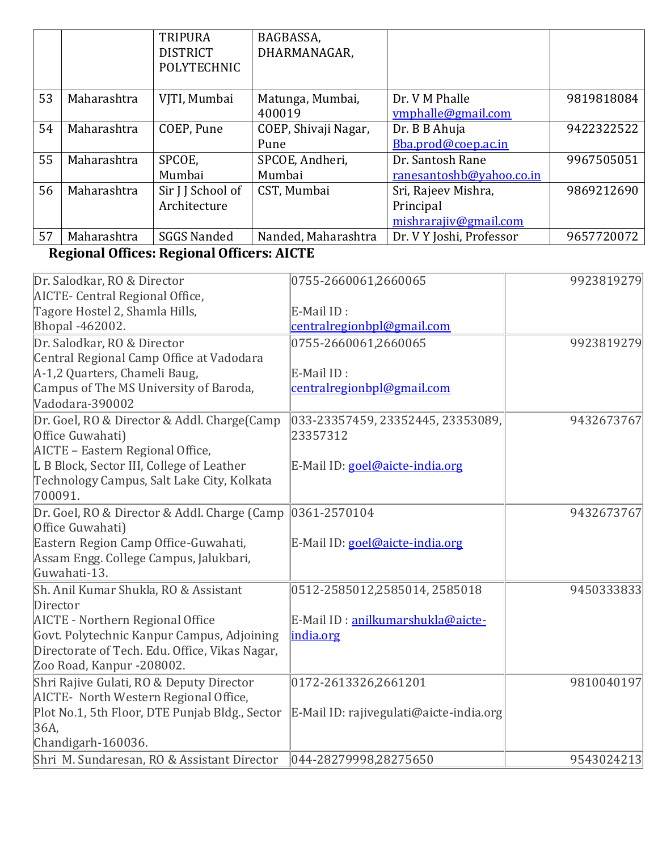|    |             | <b>TRIPURA</b>     | BAGBASSA,            |                          |            |
|----|-------------|--------------------|----------------------|--------------------------|------------|
|    |             | <b>DISTRICT</b>    | DHARMANAGAR,         |                          |            |
|    |             | <b>POLYTECHNIC</b> |                      |                          |            |
|    |             |                    |                      |                          |            |
| 53 | Maharashtra | VJTI, Mumbai       | Matunga, Mumbai,     | Dr. V M Phalle           | 9819818084 |
|    |             |                    | 400019               | ymphalle@gmail.com       |            |
| 54 | Maharashtra | COEP, Pune         | COEP, Shivaji Nagar, | Dr. B B Ahuja            | 9422322522 |
|    |             |                    | Pune                 | Bba.prod@coep.ac.in      |            |
| 55 | Maharashtra | SPCOE,             | SPCOE, Andheri,      | Dr. Santosh Rane         | 9967505051 |
|    |             | Mumbai             | Mumbai               | ranesantoshb@yahoo.co.in |            |
| 56 | Maharashtra | Sir J J School of  | CST, Mumbai          | Sri, Rajeev Mishra,      | 9869212690 |
|    |             | Architecture       |                      | Principal                |            |
|    |             |                    |                      | mishrarajiv@gmail.com    |            |
| 57 | Maharashtra | <b>SGGS Nanded</b> | Nanded, Maharashtra  | Dr. V Y Joshi, Professor | 9657720072 |

## **Regional Offices: Regional Officers: AICTE**

| Dr. Salodkar, RO & Director                    | 0755-2660061,2660065                    | 9923819279 |
|------------------------------------------------|-----------------------------------------|------------|
| AICTE- Central Regional Office,                |                                         |            |
| Tagore Hostel 2, Shamla Hills,                 | E-Mail ID:                              |            |
| Bhopal -462002.                                | centralregionbpl@gmail.com              |            |
| Dr. Salodkar, RO & Director                    | 0755-2660061,2660065                    | 9923819279 |
| Central Regional Camp Office at Vadodara       |                                         |            |
| A-1,2 Quarters, Chameli Baug,                  | E-Mail ID:                              |            |
| Campus of The MS University of Baroda,         | centralregionbpl@gmail.com              |            |
| Vadodara-390002                                |                                         |            |
| Dr. Goel, RO & Director & Addl. Charge(Camp    | 033-23357459, 23352445, 23353089,       | 9432673767 |
| Office Guwahati)                               | 23357312                                |            |
| AICTE - Eastern Regional Office,               |                                         |            |
| L B Block, Sector III, College of Leather      | E-Mail ID: goel@aicte-india.org         |            |
| Technology Campus, Salt Lake City, Kolkata     |                                         |            |
| 700091.                                        |                                         |            |
| Dr. Goel, RO & Director & Addl. Charge (Camp   | 0361-2570104                            | 9432673767 |
| Office Guwahati)                               |                                         |            |
| Eastern Region Camp Office-Guwahati,           | E-Mail ID: goel@aicte-india.org         |            |
| Assam Engg. College Campus, Jalukbari,         |                                         |            |
| Guwahati-13.                                   |                                         |            |
| Sh. Anil Kumar Shukla, RO & Assistant          | 0512-2585012,2585014,2585018            | 9450333833 |
| Director                                       |                                         |            |
| AICTE - Northern Regional Office               | E-Mail ID : anilkumarshukla@aicte-      |            |
| Govt. Polytechnic Kanpur Campus, Adjoining     | india.org                               |            |
| Directorate of Tech. Edu. Office, Vikas Nagar, |                                         |            |
| Zoo Road, Kanpur -208002.                      |                                         |            |
| Shri Rajive Gulati, RO & Deputy Director       | 0172-2613326,2661201                    | 9810040197 |
| AICTE- North Western Regional Office,          |                                         |            |
| Plot No.1, 5th Floor, DTE Punjab Bldg., Sector | E-Mail ID: rajivegulati@aicte-india.org |            |
| 36A                                            |                                         |            |
| Chandigarh-160036.                             |                                         |            |
| Shri M. Sundaresan, RO & Assistant Director    | 044-28279998,28275650                   | 9543024213 |